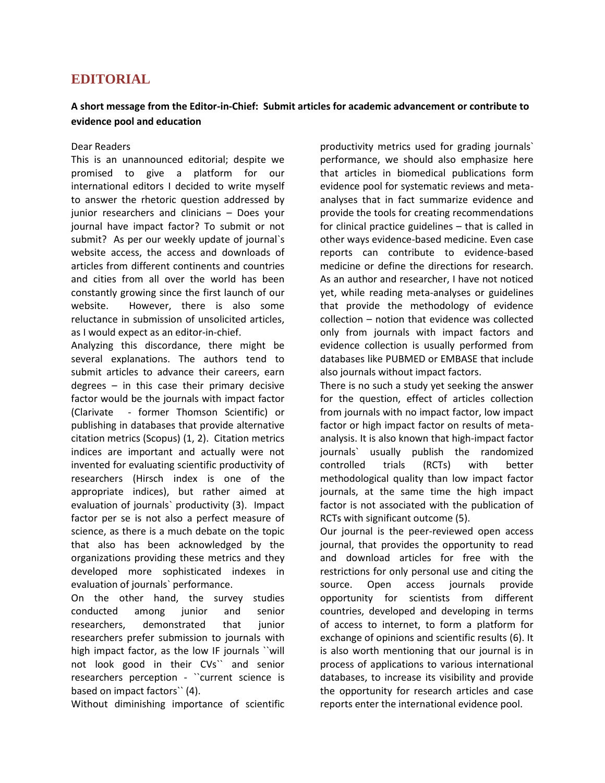## **EDITORIAL**

## **A short message from the Editor-in-Chief: Submit articles for academic advancement or contribute to evidence pool and education**

## Dear Readers

This is an unannounced editorial; despite we promised to give a platform for our international editors I decided to write myself to answer the rhetoric question addressed by junior researchers and clinicians – Does your journal have impact factor? To submit or not submit? As per our weekly update of journal`s website access, the access and downloads of articles from different continents and countries and cities from all over the world has been constantly growing since the first launch of our website. However, there is also some reluctance in submission of unsolicited articles, as I would expect as an editor-in-chief.

Analyzing this discordance, there might be several explanations. The authors tend to submit articles to advance their careers, earn degrees  $-$  in this case their primary decisive factor would be the journals with impact factor (Clarivate - former Thomson Scientific) or publishing in databases that provide alternative citation metrics (Scopus) (1, 2). Citation metrics indices are important and actually were not invented for evaluating scientific productivity of researchers (Hirsch index is one of the appropriate indices), but rather aimed at evaluation of journals` productivity (3). Impact factor per se is not also a perfect measure of science, as there is a much debate on the topic that also has been acknowledged by the organizations providing these metrics and they developed more sophisticated indexes in evaluation of journals` performance.

On the other hand, the survey studies conducted among junior and senior researchers, demonstrated that junior researchers prefer submission to journals with high impact factor, as the low IF journals ``will not look good in their CVs`` and senior researchers perception - ``current science is based on impact factors`` (4).

Without diminishing importance of scientific

productivity metrics used for grading journals` performance, we should also emphasize here that articles in biomedical publications form evidence pool for systematic reviews and metaanalyses that in fact summarize evidence and provide the tools for creating recommendations for clinical practice guidelines – that is called in other ways evidence-based medicine. Even case reports can contribute to evidence-based medicine or define the directions for research. As an author and researcher, I have not noticed yet, while reading meta-analyses or guidelines that provide the methodology of evidence collection – notion that evidence was collected only from journals with impact factors and evidence collection is usually performed from databases like PUBMED or EMBASE that include also journals without impact factors.

There is no such a study yet seeking the answer for the question, effect of articles collection from journals with no impact factor, low impact factor or high impact factor on results of metaanalysis. It is also known that high-impact factor journals` usually publish the randomized controlled trials (RCTs) with better methodological quality than low impact factor journals, at the same time the high impact factor is not associated with the publication of RCTs with significant outcome (5).

Our journal is the peer-reviewed open access journal, that provides the opportunity to read and download articles for free with the restrictions for only personal use and citing the source. Open access journals provide opportunity for scientists from different countries, developed and developing in terms of access to internet, to form a platform for exchange of opinions and scientific results (6). It is also worth mentioning that our journal is in process of applications to various international databases, to increase its visibility and provide the opportunity for research articles and case reports enter the international evidence pool.